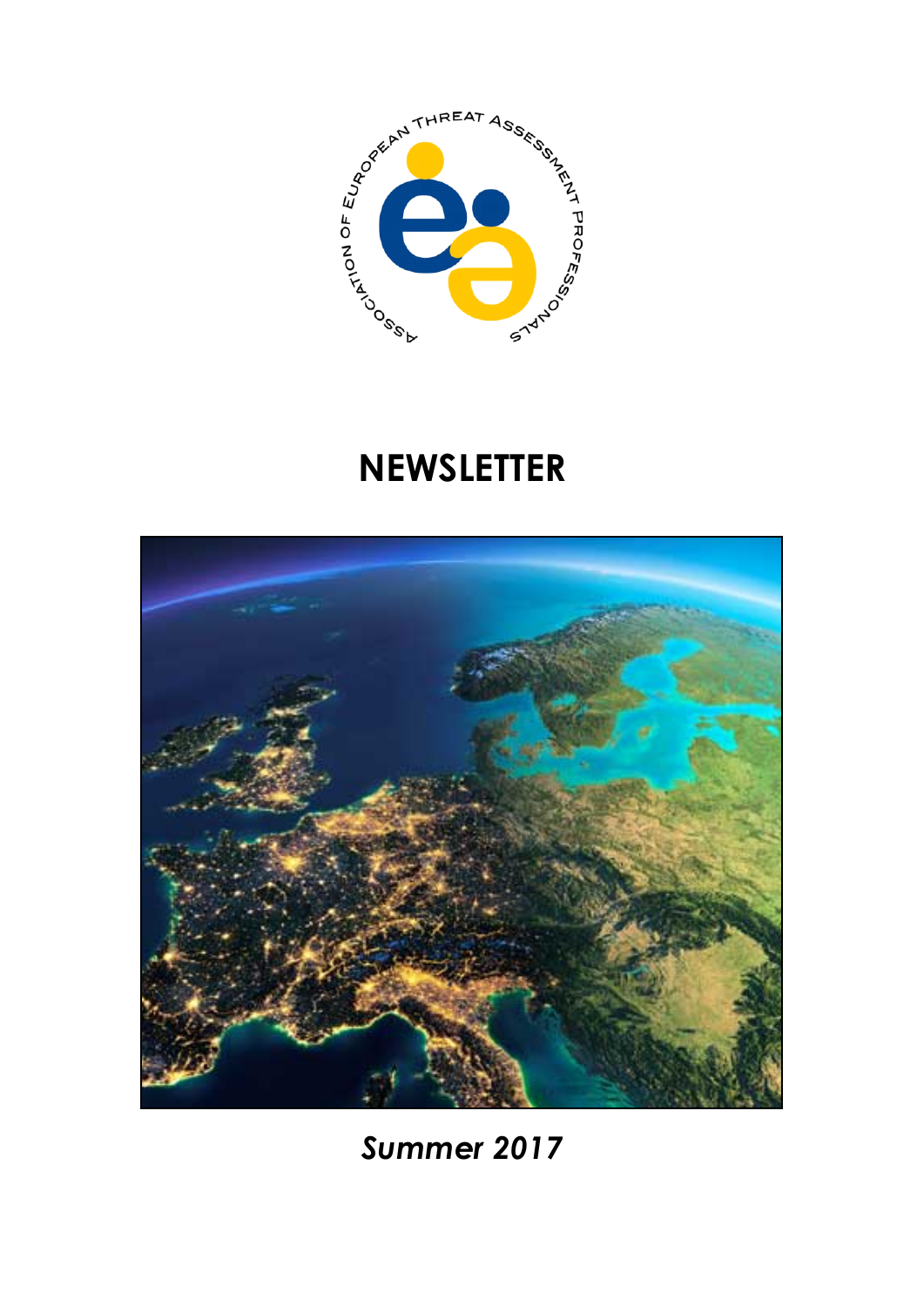

# **NEWSLETTER**



*Summer 2017*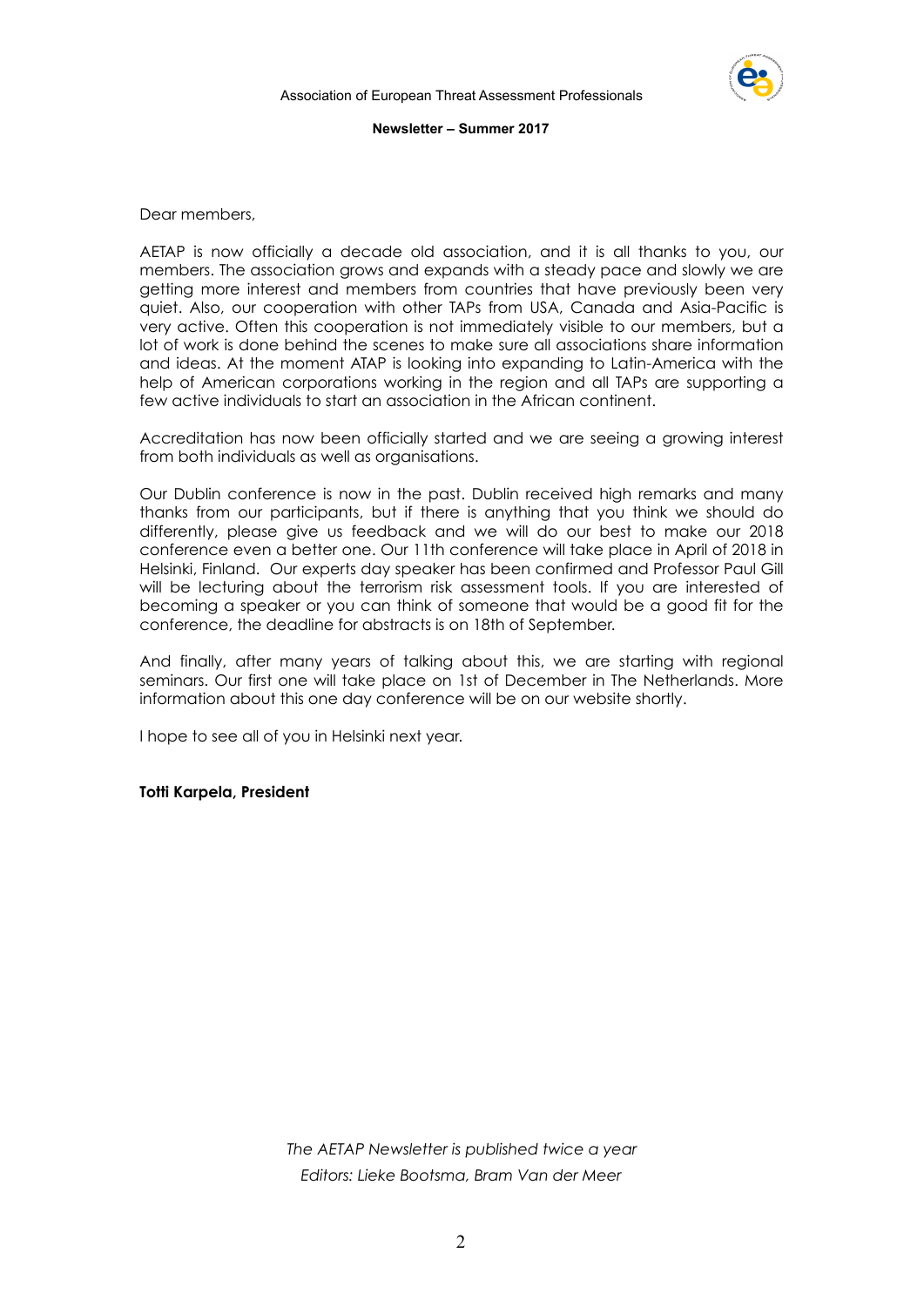

Dear members,

AETAP is now officially a decade old association, and it is all thanks to you, our members. The association grows and expands with a steady pace and slowly we are getting more interest and members from countries that have previously been very quiet. Also, our cooperation with other TAPs from USA, Canada and Asia-Pacific is very active. Often this cooperation is not immediately visible to our members, but a lot of work is done behind the scenes to make sure all associations share information and ideas. At the moment ATAP is looking into expanding to Latin-America with the help of American corporations working in the region and all TAPs are supporting a few active individuals to start an association in the African continent.

Accreditation has now been officially started and we are seeing a growing interest from both individuals as well as organisations.

Our Dublin conference is now in the past. Dublin received high remarks and many thanks from our participants, but if there is anything that you think we should do differently, please give us feedback and we will do our best to make our 2018 conference even a better one. Our 11th conference will take place in April of 2018 in Helsinki, Finland. Our experts day speaker has been confirmed and Professor Paul Gill will be lecturing about the terrorism risk assessment tools. If you are interested of becoming a speaker or you can think of someone that would be a good fit for the conference, the deadline for abstracts is on 18th of September.

And finally, after many years of talking about this, we are starting with regional seminars. Our first one will take place on 1st of December in The Netherlands. More information about this one day conference will be on our website shortly.

I hope to see all of you in Helsinki next year.

**Totti Karpela, President** 

*The AETAP Newsletter is published twice a year Editors: Lieke Bootsma, Bram Van der Meer*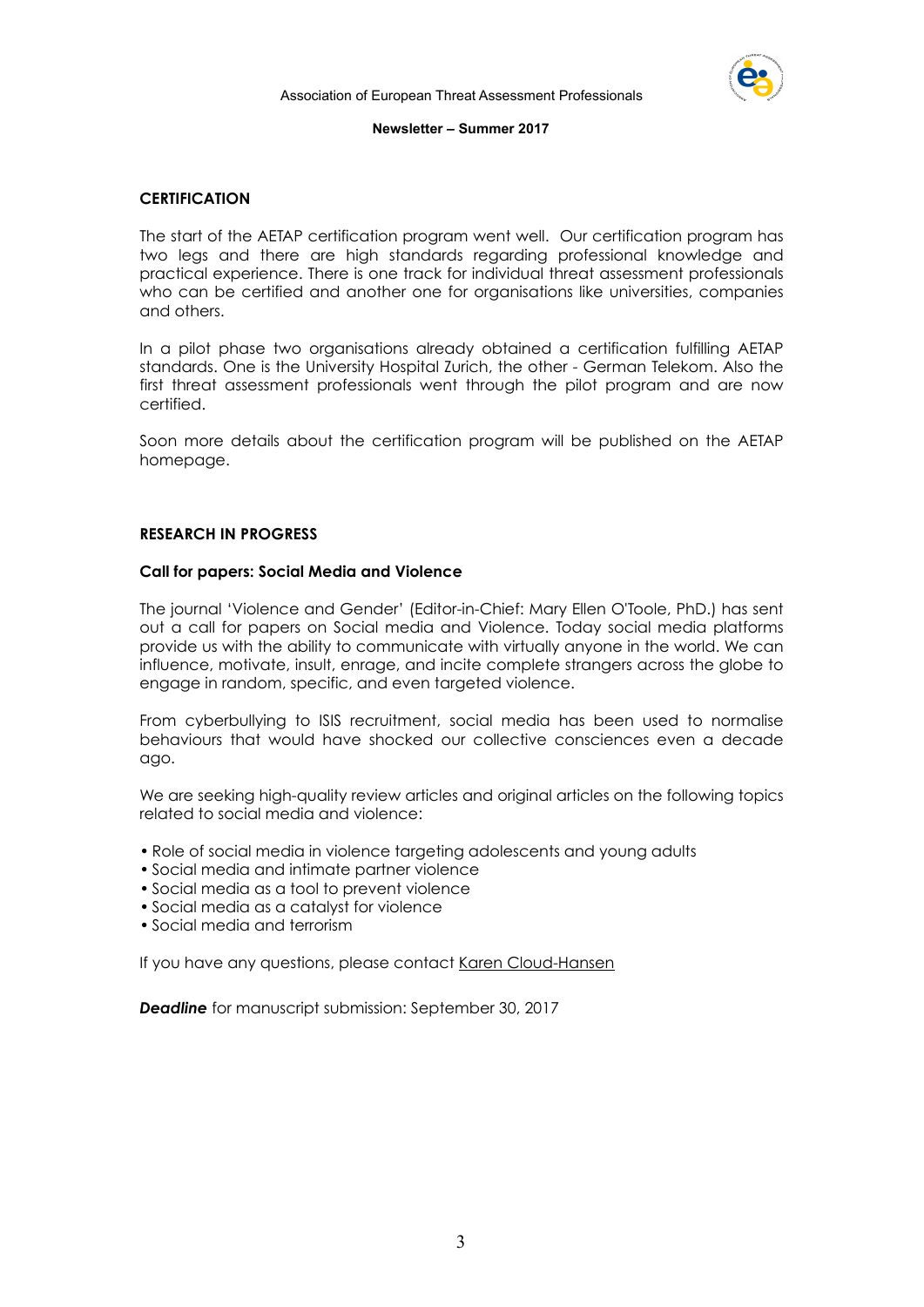

# **CERTIFICATION**

The start of the AETAP certification program went well. Our certification program has two legs and there are high standards regarding professional knowledge and practical experience. There is one track for individual threat assessment professionals who can be certified and another one for organisations like universities, companies and others.

In a pilot phase two organisations already obtained a certification fulfilling AETAP standards. One is the University Hospital Zurich, the other - German Telekom. Also the first threat assessment professionals went through the pilot program and are now certified.

Soon more details about the certification program will be published on the AETAP homepage.

#### **RESEARCH IN PROGRESS**

#### **Call for papers: Social Media and Violence**

The journal 'Violence and Gender' (Editor-in-Chief: Mary Ellen O'Toole, PhD.) has sent out a call for papers on Social media and Violence. Today social media platforms provide us with the ability to communicate with virtually anyone in the world. We can influence, motivate, insult, enrage, and incite complete strangers across the globe to engage in random, specific, and even targeted violence.

From cyberbullying to ISIS recruitment, social media has been used to normalise behaviours that would have shocked our collective consciences even a decade ago.

We are seeking high-quality review articles and original articles on the following topics related to social media and violence:

- Role of social media in violence targeting adolescents and young adults
- Social media and intimate partner violence
- Social media as a tool to prevent violence
- Social media as a catalyst for violence
- Social media and terrorism

If you have any questions, please contact [Karen Cloud-Hansen](mailto:kcloudhansen@liebertpub.com)

*Deadline* for manuscript [submission](http://click.liebertpubmail.com/?qs=55856d5f814176b531c7ceaf9d2fc026f61b578745ad62ccce51094e59549dcb69a61fbaf5d3a60c860ec2c698719833): September 30, 2017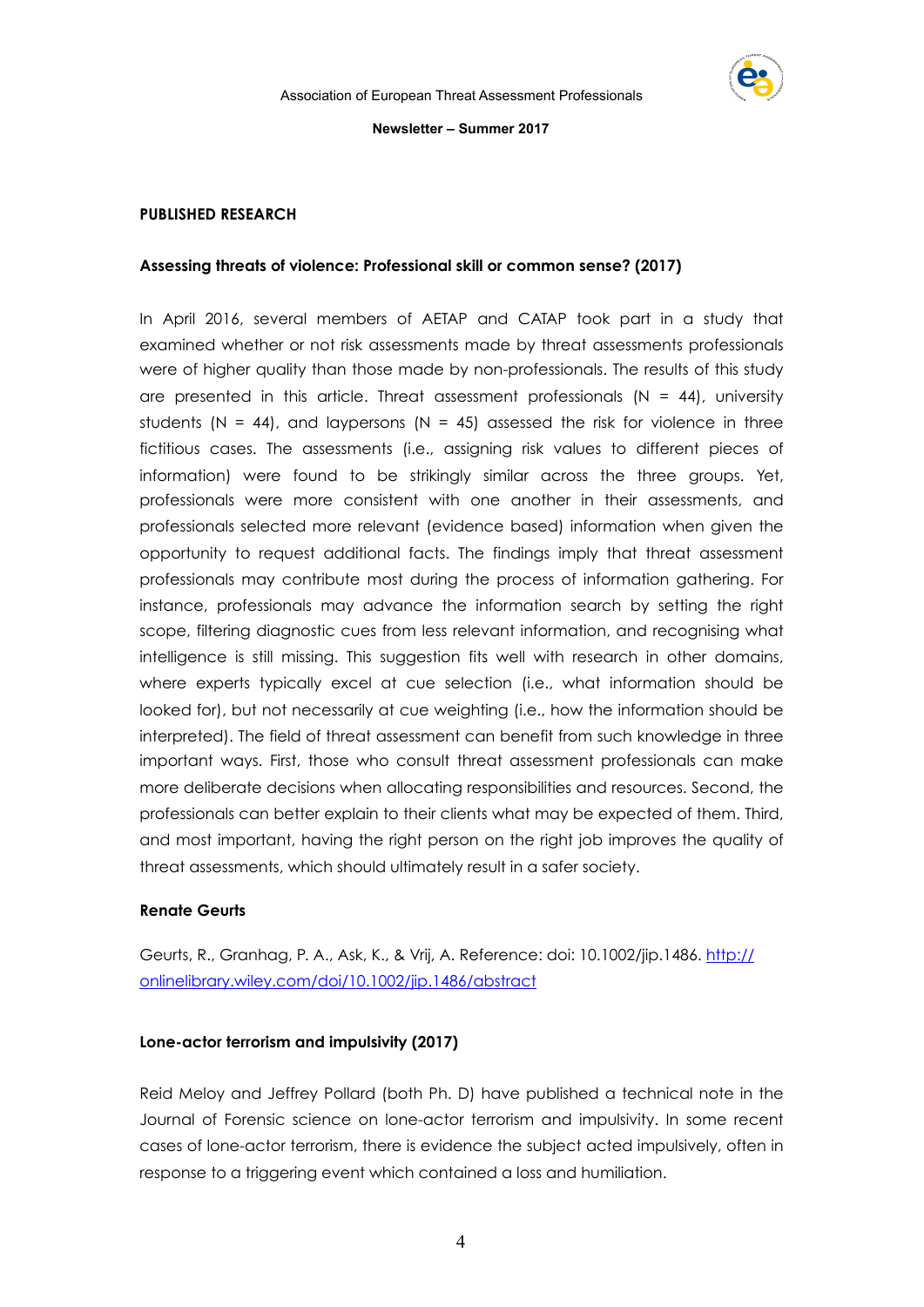

#### **PUBLISHED RESEARCH**

#### **Assessing threats of violence: Professional skill or common sense? (2017)**

In April 2016, several members of AETAP and CATAP took part in a study that examined whether or not risk assessments made by threat assessments professionals were of higher quality than those made by non-professionals. The results of this study are presented in this article. Threat assessment professionals  $(N = 44)$ , university students (N = 44), and laypersons (N = 45) assessed the risk for violence in three fictitious cases. The assessments (i.e., assigning risk values to different pieces of information) were found to be strikingly similar across the three groups. Yet, professionals were more consistent with one another in their assessments, and professionals selected more relevant (evidence based) information when given the opportunity to request additional facts. The findings imply that threat assessment professionals may contribute most during the process of information gathering. For instance, professionals may advance the information search by setting the right scope, filtering diagnostic cues from less relevant information, and recognising what intelligence is still missing. This suggestion fits well with research in other domains, where experts typically excel at cue selection (i.e., what information should be looked for), but not necessarily at cue weighting (i.e., how the information should be interpreted). The field of threat assessment can benefit from such knowledge in three important ways. First, those who consult threat assessment professionals can make more deliberate decisions when allocating responsibilities and resources. Second, the professionals can better explain to their clients what may be expected of them. Third, and most important, having the right person on the right job improves the quality of threat assessments, which should ultimately result in a safer society.

#### **Renate Geurts**

Geurts, R., Granhag, P. A., Ask, K., & Vrij, A. Reference: doi: 10.1002/jip.1486. [http://](http://onlinelibrary.wiley.com/doi/10.1002/jip.1486/abstract) [onlinelibrary.wiley.com/doi/10.1002/jip.1486/abstract](http://onlinelibrary.wiley.com/doi/10.1002/jip.1486/abstract) 

# **Lone-actor terrorism and impulsivity (2017)**

Reid Meloy and Jeffrey Pollard (both Ph. D) have published a technical note in the Journal of Forensic science on lone-actor terrorism and impulsivity. In some recent cases of lone-actor terrorism, there is evidence the subject acted impulsively, often in response to a triggering event which contained a loss and humiliation.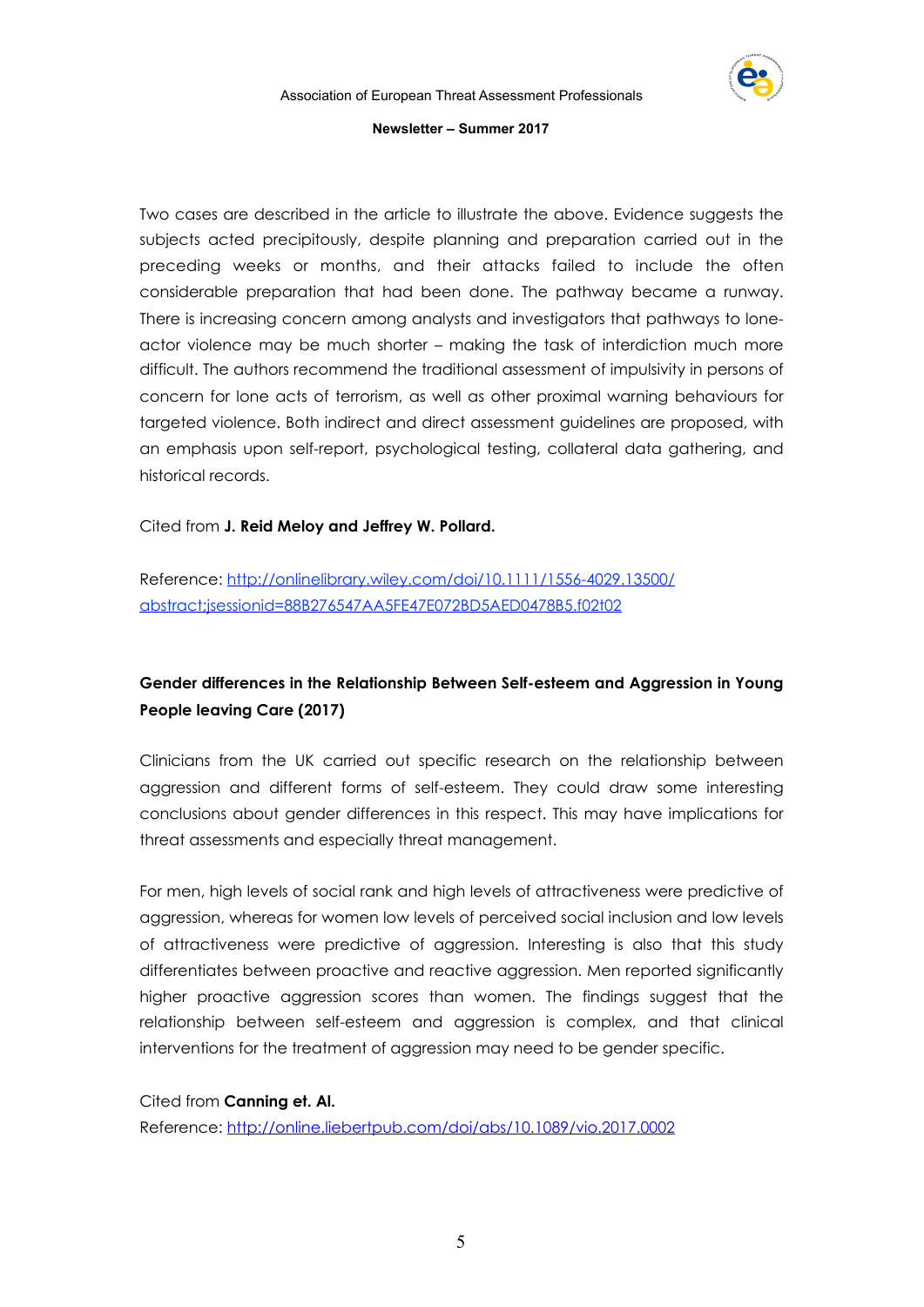

Two cases are described in the article to illustrate the above. Evidence suggests the subjects acted precipitously, despite planning and preparation carried out in the preceding weeks or months, and their attacks failed to include the often considerable preparation that had been done. The pathway became a runway. There is increasing concern among analysts and investigators that pathways to loneactor violence may be much shorter – making the task of interdiction much more difficult. The authors recommend the traditional assessment of impulsivity in persons of concern for lone acts of terrorism, as well as other proximal warning behaviours for targeted violence. Both indirect and direct assessment guidelines are proposed, with an emphasis upon self-report, psychological testing, collateral data gathering, and historical records.

Cited from **J. Reid Meloy and Jeffrey W. Pollard.**

Reference: [http://onlinelibrary.wiley.com/doi/10.1111/1556-4029.13500/](http://onlinelibrary.wiley.com/doi/10.1111/1556-4029.13500/abstract%3Bjsessionid=88B276547AA5FE47E072BD5AED0478B5.f02t02) [abstract;jsessionid=88B276547AA5FE47E072BD5AED0478B5.f02t02](http://onlinelibrary.wiley.com/doi/10.1111/1556-4029.13500/abstract%3Bjsessionid=88B276547AA5FE47E072BD5AED0478B5.f02t02)

# **Gender differences in the Relationship Between Self-esteem and Aggression in Young People leaving Care (2017)**

Clinicians from the UK carried out specific research on the relationship between aggression and different forms of self-esteem. They could draw some interesting conclusions about gender differences in this respect. This may have implications for threat assessments and especially threat management.

For men, high levels of social rank and high levels of attractiveness were predictive of aggression, whereas for women low levels of perceived social inclusion and low levels of attractiveness were predictive of aggression. Interesting is also that this study differentiates between proactive and reactive aggression. Men reported significantly higher proactive aggression scores than women. The findings suggest that the relationship between self-esteem and aggression is complex, and that clinical interventions for the treatment of aggression may need to be gender specific.

Cited from **Canning et. Al.** Reference:<http://online.liebertpub.com/doi/abs/10.1089/vio.2017.0002>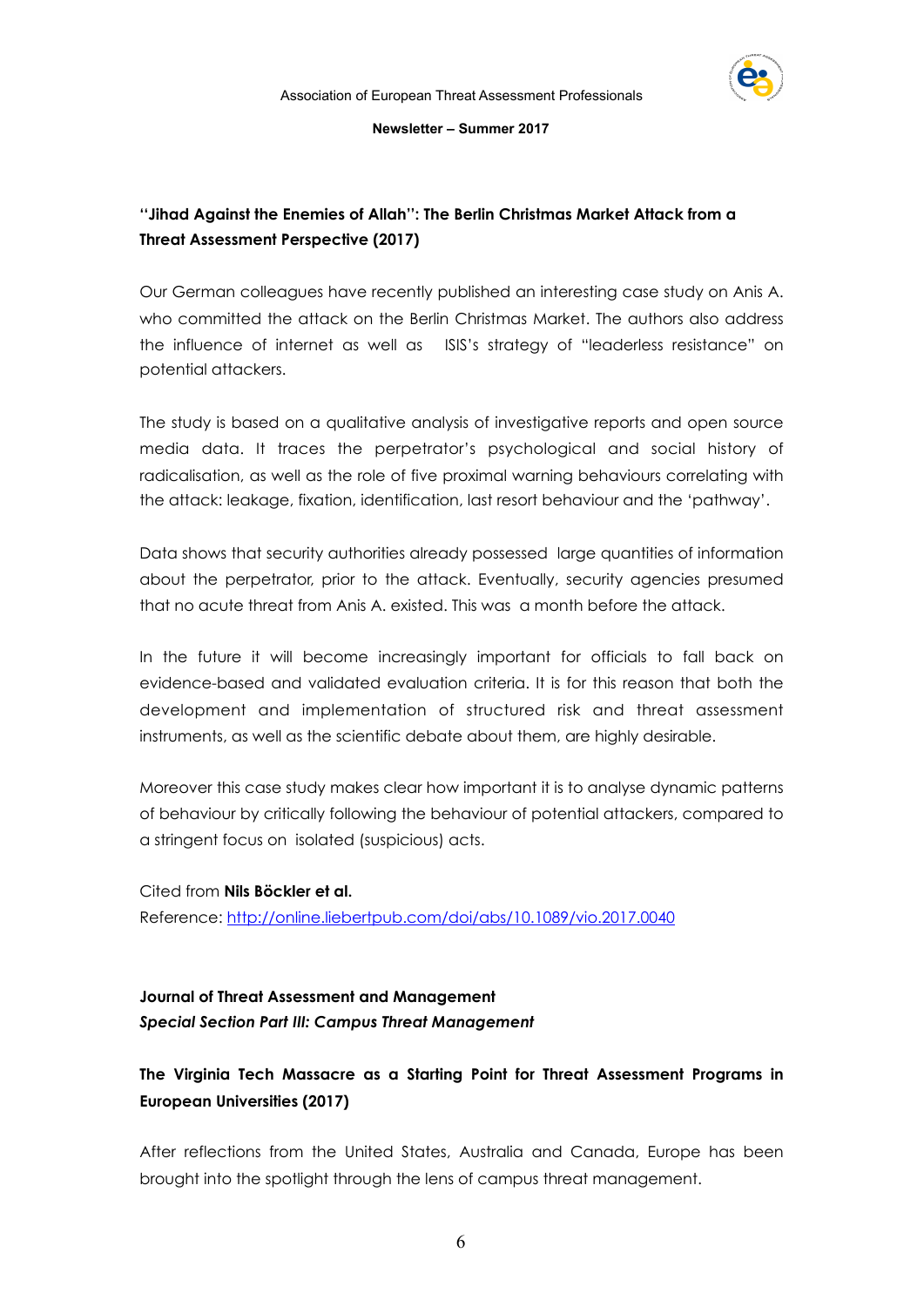

# **''Jihad Against the Enemies of Allah'': The Berlin Christmas Market Attack from a Threat Assessment Perspective (2017)**

Our German colleagues have recently published an interesting case study on Anis A. who committed the attack on the Berlin Christmas Market. The authors also address the influence of internet as well as ISIS's strategy of "leaderless resistance" on potential attackers.

The study is based on a qualitative analysis of investigative reports and open source media data. It traces the perpetrator's psychological and social history of radicalisation, as well as the role of five proximal warning behaviours correlating with the attack: leakage, fixation, identification, last resort behaviour and the 'pathway'.

Data shows that security authorities already possessed large quantities of information about the perpetrator, prior to the attack. Eventually, security agencies presumed that no acute threat from Anis A. existed. This was a month before the attack.

In the future it will become increasingly important for officials to fall back on evidence-based and validated evaluation criteria. It is for this reason that both the development and implementation of structured risk and threat assessment instruments, as well as the scientific debate about them, are highly desirable.

Moreover this case study makes clear how important it is to analyse dynamic patterns of behaviour by critically following the behaviour of potential attackers, compared to a stringent focus on isolated (suspicious) acts.

Cited from **Nils Böckler et al.**  Reference:<http://online.liebertpub.com/doi/abs/10.1089/vio.2017.0040>

# **Journal of Threat Assessment and Management**  *Special Section Part III: Campus Threat Management*

# **The Virginia Tech Massacre as a Starting Point for Threat Assessment Programs in European Universities (2017)**

After reflections from the United States, Australia and Canada, Europe has been brought into the spotlight through the lens of campus threat management.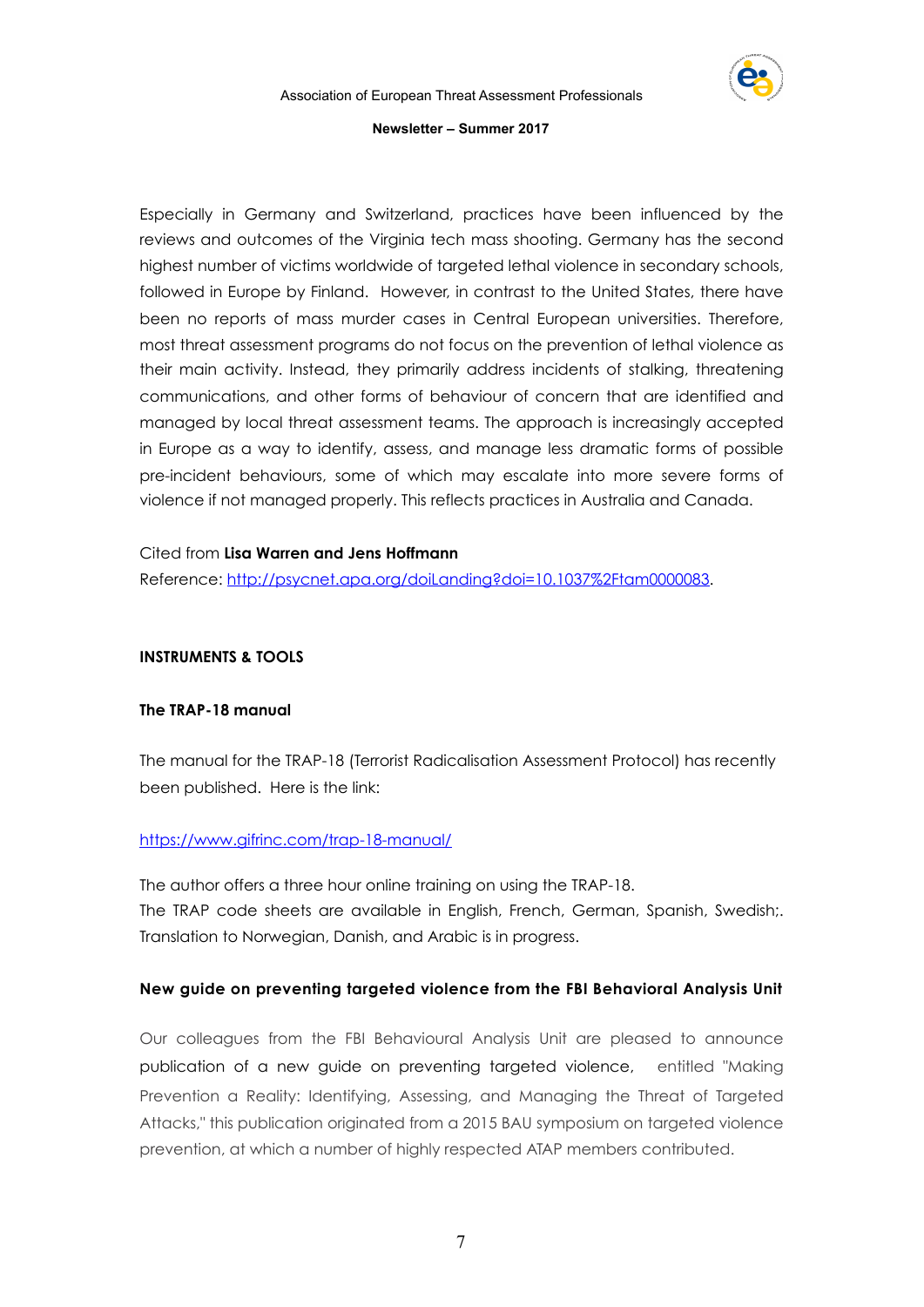

Especially in Germany and Switzerland, practices have been influenced by the reviews and outcomes of the Virginia tech mass shooting. Germany has the second highest number of victims worldwide of targeted lethal violence in secondary schools, followed in Europe by Finland. However, in contrast to the United States, there have been no reports of mass murder cases in Central European universities. Therefore, most threat assessment programs do not focus on the prevention of lethal violence as their main activity. Instead, they primarily address incidents of stalking, threatening communications, and other forms of behaviour of concern that are identified and managed by local threat assessment teams. The approach is increasingly accepted in Europe as a way to identify, assess, and manage less dramatic forms of possible pre-incident behaviours, some of which may escalate into more severe forms of violence if not managed properly. This reflects practices in Australia and Canada.

# Cited from **Lisa Warren and Jens Hoffmann**

Reference: [http://psycnet.apa.org/doiLanding?doi=10.1037%2Ftam0000083](http://psycnet.apa.org/doiLanding?doi=10.1037%252Ftam0000083).

# **INSTRUMENTS & TOOLS**

# **The TRAP-18 manual**

The manual for the TRAP-18 (Terrorist Radicalisation Assessment Protocol) has recently been published. Here is the link:

# <https://www.gifrinc.com/trap-18-manual/>

The author offers a three hour online training on using the TRAP-18. The TRAP code sheets are available in English, French, German, Spanish, Swedish;. Translation to Norwegian, Danish, and Arabic is in progress.

# **[New guide on preventing targeted violence from the FBI Behavioral Analysis Unit](http://www.aetap.eu/news/61-new-guide-on-preventing-targeted-violence-from-the-fbi-behavioral-analysis-unit.html)**

Our colleagues from the FBI Behavioural Analysis Unit are pleased to announce publication of a new guide on preventing targeted violence, entitled "Making Prevention a Reality: Identifying, Assessing, and Managing the Threat of Targeted Attacks," this publication originated from a 2015 BAU symposium on targeted violence prevention, at which a number of highly respected ATAP members contributed.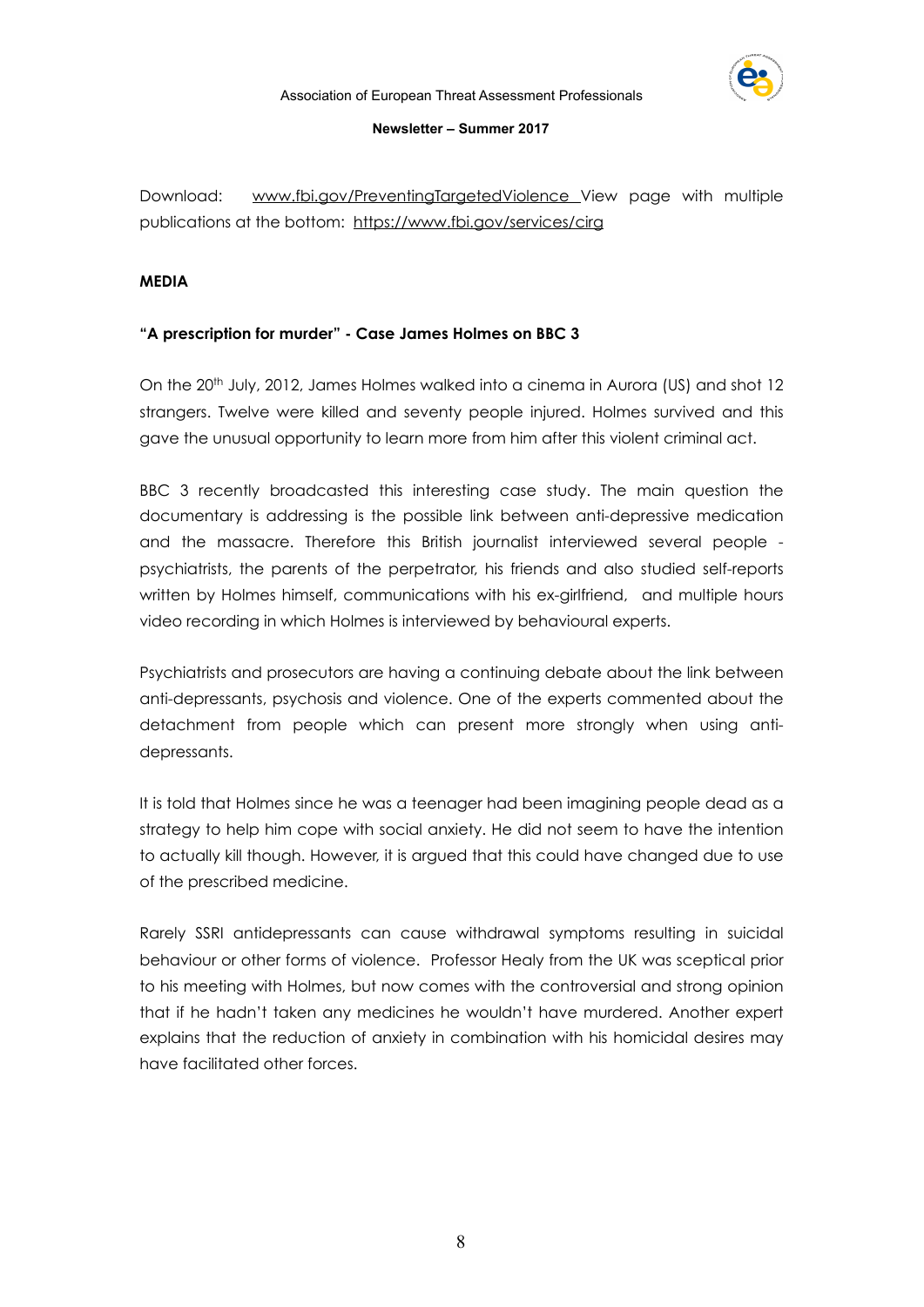Download: [www.fbi.gov/PreventingTargetedViolence](http://www.fbi.gov/PreventingTargetedViolence) View page with multiple publications at the bottom: <https://www.fbi.gov/services/cirg>

# **MEDIA**

# **"A prescription for murder" - Case James Holmes on BBC 3**

On the 20th July, 2012, James Holmes walked into a cinema in Aurora (US) and shot 12 strangers. Twelve were killed and seventy people injured. Holmes survived and this gave the unusual opportunity to learn more from him after this violent criminal act.

BBC 3 recently broadcasted this interesting case study. The main question the documentary is addressing is the possible link between anti-depressive medication and the massacre. Therefore this British journalist interviewed several people psychiatrists, the parents of the perpetrator, his friends and also studied self-reports written by Holmes himself, communications with his ex-girlfriend, and multiple hours video recording in which Holmes is interviewed by behavioural experts.

Psychiatrists and prosecutors are having a continuing debate about the link between anti-depressants, psychosis and violence. One of the experts commented about the detachment from people which can present more strongly when using antidepressants.

It is told that Holmes since he was a teenager had been imagining people dead as a strategy to help him cope with social anxiety. He did not seem to have the intention to actually kill though. However, it is argued that this could have changed due to use of the prescribed medicine.

Rarely SSRI antidepressants can cause withdrawal symptoms resulting in suicidal behaviour or other forms of violence. Professor Healy from the UK was sceptical prior to his meeting with Holmes, but now comes with the controversial and strong opinion that if he hadn't taken any medicines he wouldn't have murdered. Another expert explains that the reduction of anxiety in combination with his homicidal desires may have facilitated other forces.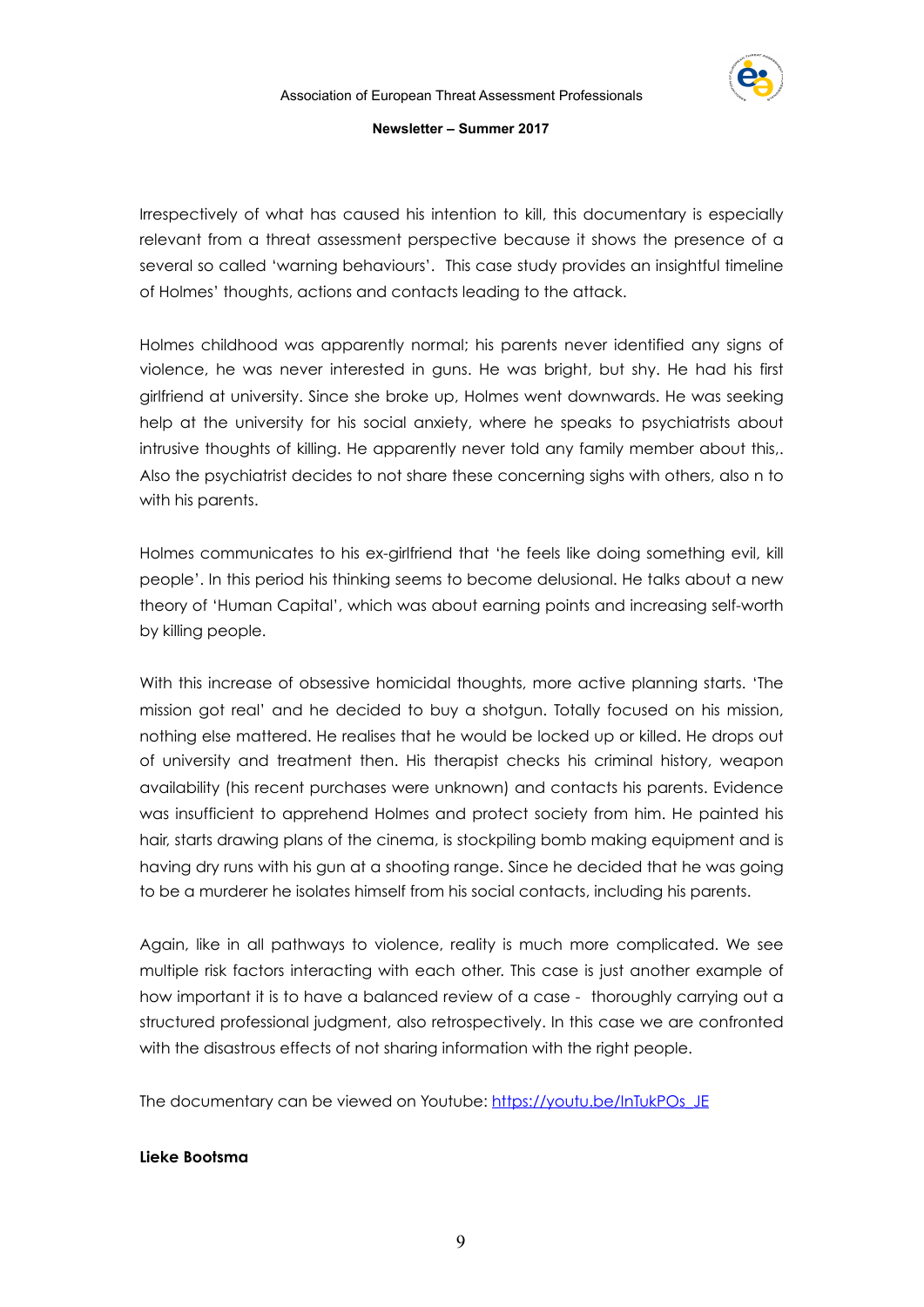

Irrespectively of what has caused his intention to kill, this documentary is especially relevant from a threat assessment perspective because it shows the presence of a several so called 'warning behaviours'. This case study provides an insightful timeline of Holmes' thoughts, actions and contacts leading to the attack.

Holmes childhood was apparently normal; his parents never identified any signs of violence, he was never interested in guns. He was bright, but shy. He had his first girlfriend at university. Since she broke up, Holmes went downwards. He was seeking help at the university for his social anxiety, where he speaks to psychiatrists about intrusive thoughts of killing. He apparently never told any family member about this,. Also the psychiatrist decides to not share these concerning sighs with others, also n to with his parents.

Holmes communicates to his ex-girlfriend that 'he feels like doing something evil, kill people'. In this period his thinking seems to become delusional. He talks about a new theory of 'Human Capital', which was about earning points and increasing self-worth by killing people.

With this increase of obsessive homicidal thoughts, more active planning starts. 'The mission got real' and he decided to buy a shotgun. Totally focused on his mission, nothing else mattered. He realises that he would be locked up or killed. He drops out of university and treatment then. His therapist checks his criminal history, weapon availability (his recent purchases were unknown) and contacts his parents. Evidence was insufficient to apprehend Holmes and protect society from him. He painted his hair, starts drawing plans of the cinema, is stockpiling bomb making equipment and is having dry runs with his gun at a shooting range. Since he decided that he was going to be a murderer he isolates himself from his social contacts, including his parents.

Again, like in all pathways to violence, reality is much more complicated. We see multiple risk factors interacting with each other. This case is just another example of how important it is to have a balanced review of a case - thoroughly carrying out a structured professional judgment, also retrospectively. In this case we are confronted with the disastrous effects of not sharing information with the right people.

The documentary can be viewed on Youtube: [https://youtu.be/InTukPOs\\_JE](https://youtu.be/InTukPOs_JE)

# **Lieke Bootsma**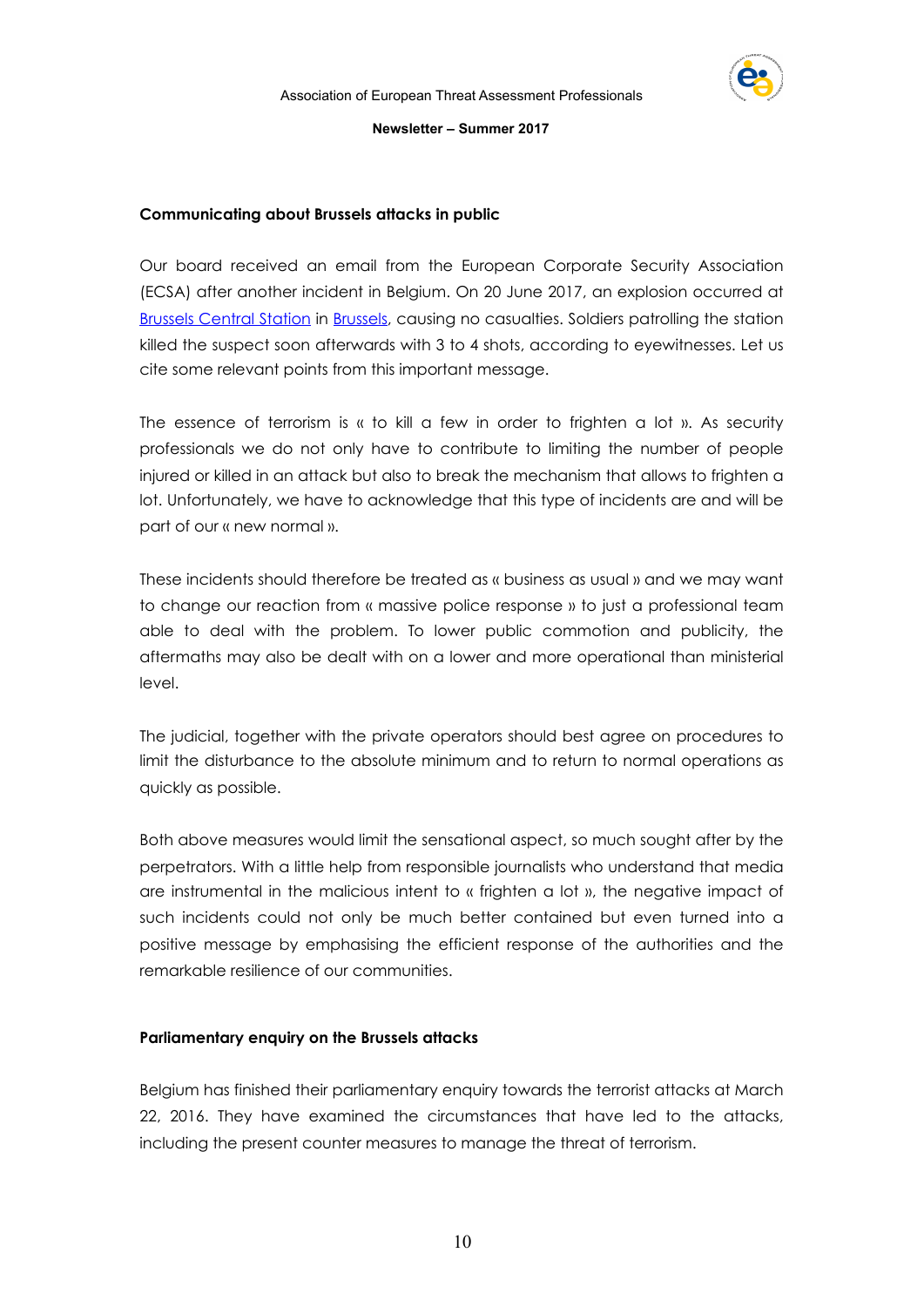

# **Communicating about Brussels attacks in public**

Our board received an email from the European Corporate Security Association (ECSA) after another incident in Belgium. On 20 June 2017, an explosion occurred at [Brussels Central Station](https://en.wikipedia.org/wiki/Brussels_Central_Station) in [Brussels,](https://en.wikipedia.org/wiki/Brussels) causing no casualties. Soldiers patrolling the station killed the suspect soon afterwards with 3 to 4 shots, according to eyewitnesses. Let us cite some relevant points from this important message.

The essence of terrorism is « to kill a few in order to frighten a lot ». As security professionals we do not only have to contribute to limiting the number of people injured or killed in an attack but also to break the mechanism that allows to frighten a lot. Unfortunately, we have to acknowledge that this type of incidents are and will be part of our « new normal ».

These incidents should therefore be treated as « business as usual » and we may want to change our reaction from « massive police response » to just a professional team able to deal with the problem. To lower public commotion and publicity, the aftermaths may also be dealt with on a lower and more operational than ministerial level.

The judicial, together with the private operators should best agree on procedures to limit the disturbance to the absolute minimum and to return to normal operations as quickly as possible.

Both above measures would limit the sensational aspect, so much sought after by the perpetrators. With a little help from responsible journalists who understand that media are instrumental in the malicious intent to « frighten a lot », the negative impact of such incidents could not only be much better contained but even turned into a positive message by emphasising the efficient response of the authorities and the remarkable resilience of our communities.

# **Parliamentary enquiry on the Brussels attacks**

Belgium has finished their parliamentary enquiry towards the terrorist attacks at March 22, 2016. They have examined the circumstances that have led to the attacks, including the present counter measures to manage the threat of terrorism.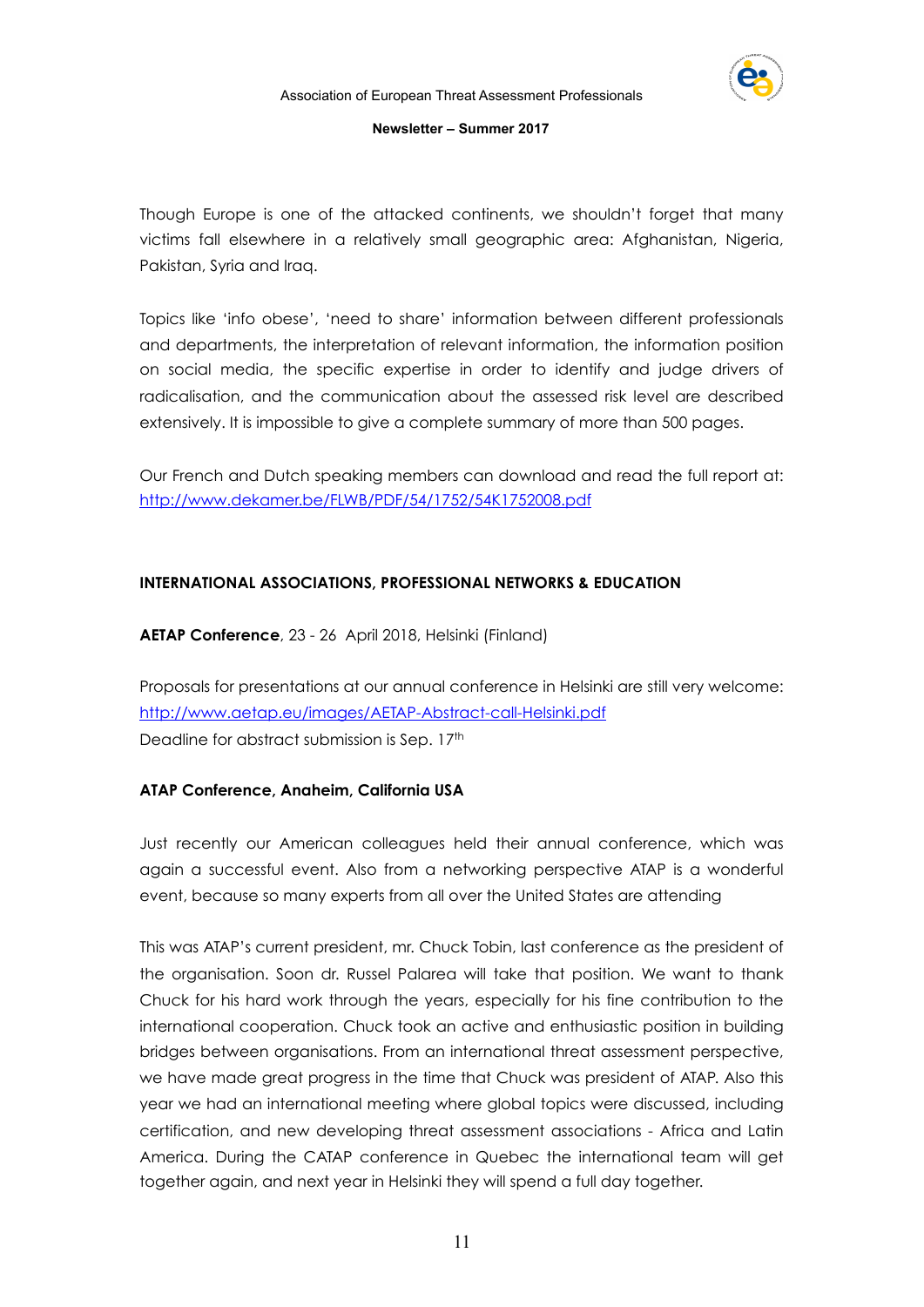

Though Europe is one of the attacked continents, we shouldn't forget that many victims fall elsewhere in a relatively small geographic area: Afghanistan, Nigeria, Pakistan, Syria and Iraq.

Topics like 'info obese', 'need to share' information between different professionals and departments, the interpretation of relevant information, the information position on social media, the specific expertise in order to identify and judge drivers of radicalisation, and the communication about the assessed risk level are described extensively. It is impossible to give a complete summary of more than 500 pages.

Our French and Dutch speaking members can download and read the full report at: <http://www.dekamer.be/FLWB/PDF/54/1752/54K1752008.pdf>

# **INTERNATIONAL ASSOCIATIONS, PROFESSIONAL NETWORKS & EDUCATION**

**AETAP Conference**, 23 - 26 April 2018, Helsinki (Finland)

Proposals for presentations at our annual conference in Helsinki are still very welcome: <http://www.aetap.eu/images/AETAP-Abstract-call-Helsinki.pdf> Deadline for abstract submission is Sep. 17<sup>th</sup>

# **ATAP Conference, Anaheim, California USA**

Just recently our American colleagues held their annual conference, which was again a successful event. Also from a networking perspective ATAP is a wonderful event, because so many experts from all over the United States are attending

This was ATAP's current president, mr. Chuck Tobin, last conference as the president of the organisation. Soon dr. Russel Palarea will take that position. We want to thank Chuck for his hard work through the years, especially for his fine contribution to the international cooperation. Chuck took an active and enthusiastic position in building bridges between organisations. From an international threat assessment perspective, we have made great progress in the time that Chuck was president of ATAP. Also this year we had an international meeting where global topics were discussed, including certification, and new developing threat assessment associations - Africa and Latin America. During the CATAP conference in Quebec the international team will get together again, and next year in Helsinki they will spend a full day together.